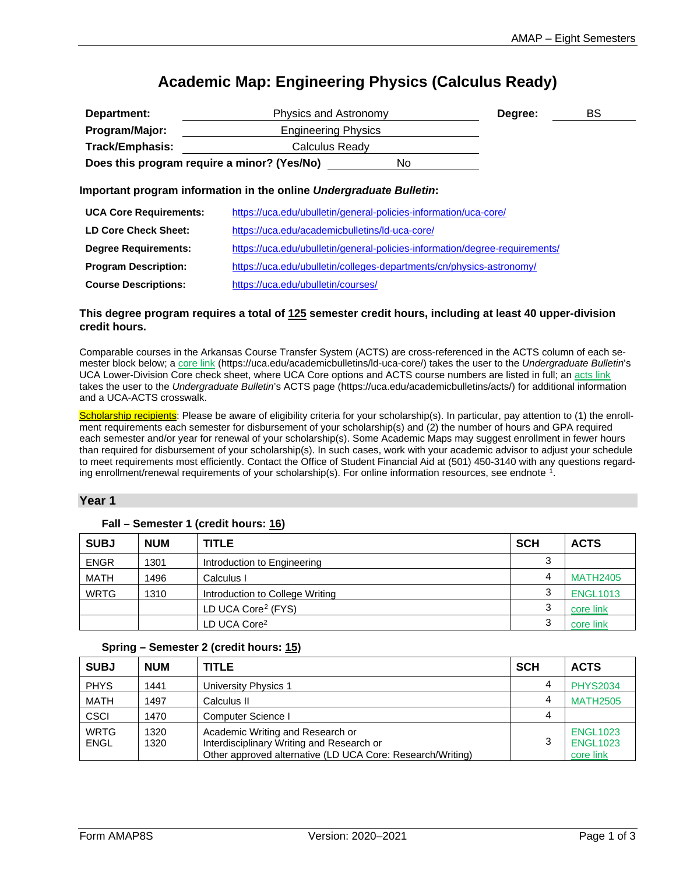# **Academic Map: Engineering Physics (Calculus Ready)**

| Department:                                 | Physics and Astronomy                                                       |     | Degree: | BS |  |
|---------------------------------------------|-----------------------------------------------------------------------------|-----|---------|----|--|
| Program/Major:                              | <b>Engineering Physics</b>                                                  |     |         |    |  |
| <b>Track/Emphasis:</b>                      | Calculus Ready                                                              |     |         |    |  |
| Does this program require a minor? (Yes/No) |                                                                             | No. |         |    |  |
|                                             | Important program information in the online Undergraduate Bulletin:         |     |         |    |  |
| <b>UCA Core Requirements:</b>               | https://uca.edu/ubulletin/general-policies-information/uca-core/            |     |         |    |  |
| <b>LD Core Check Sheet:</b>                 | https://uca.edu/academicbulletins/ld-uca-core/                              |     |         |    |  |
| <b>Degree Requirements:</b>                 | https://uca.edu/ubulletin/general-policies-information/degree-requirements/ |     |         |    |  |

**Program Description:** <https://uca.edu/ubulletin/colleges-departments/cn/physics-astronomy/>

| <b>Course Descriptions:</b> | https://uca.edu/ubulletin/courses/ |
|-----------------------------|------------------------------------|
|                             |                                    |

#### **This degree program requires a total of 125 semester credit hours, including at least 40 upper-division credit hours.**

Comparable courses in the Arkansas Course Transfer System (ACTS) are cross-referenced in the ACTS column of each semester block below; a [core link](https://uca.edu/academicbulletins/ld-uca-core/) (https://uca.edu/academicbulletins/ld-uca-core/) takes the user to the *Undergraduate Bulletin*'s UCA Lower-Division Core check sheet, where UCA Core options and ACTS course numbers are listed in full; a[n acts link](https://uca.edu/academicbulletins/acts/) takes the user to the *Undergraduate Bulletin*'s ACTS page (https://uca.edu/academicbulletins/acts/) for additional information and a UCA-ACTS crosswalk.

Scholarship recipients: Please be aware of eligibility criteria for your scholarship(s). In particular, pay attention to (1) the enrollment requirements each semester for disbursement of your scholarship(s) and (2) the number of hours and GPA required each semester and/or year for renewal of your scholarship(s). Some Academic Maps may suggest enrollment in fewer hours than required for disbursement of your scholarship(s). In such cases, work with your academic advisor to adjust your schedule to meet requirements most efficiently. Contact the Office of Student Financial Aid at (501) 450-3140 with any questions regard-ing enrollment/renewal requirements of your scholarship(s). For online information resources, see endnote <sup>[1](#page-2-0)</sup>.

### **Year 1**

| <b>SUBJ</b> | <b>NUM</b> | <b>TITLE</b>                    | <b>SCH</b> | <b>ACTS</b>     |
|-------------|------------|---------------------------------|------------|-----------------|
| <b>ENGR</b> | 1301       | Introduction to Engineering     | ◠          |                 |
| <b>MATH</b> | 1496       | Calculus I                      | 4          | <b>MATH2405</b> |
| <b>WRTG</b> | 1310       | Introduction to College Writing | ◠          | <b>ENGL1013</b> |
|             |            | LD UCA Core <sup>2</sup> (FYS)  | ◠          | core link       |
|             |            | LD UCA Core <sup>2</sup>        |            | core link       |

#### **Fall – Semester 1 (credit hours: 16)**

#### <span id="page-0-0"></span>**Spring – Semester 2 (credit hours: 15)**

| <b>SUBJ</b>         | <b>NUM</b>   | <b>TITLE</b>                                                                                                                                | <b>SCH</b> | <b>ACTS</b>                                     |
|---------------------|--------------|---------------------------------------------------------------------------------------------------------------------------------------------|------------|-------------------------------------------------|
| <b>PHYS</b>         | 1441         | University Physics 1                                                                                                                        | 4          | <b>PHYS2034</b>                                 |
| <b>MATH</b>         | 1497         | Calculus II                                                                                                                                 | 4          | <b>MATH2505</b>                                 |
| <b>CSCI</b>         | 1470         | Computer Science I                                                                                                                          | 4          |                                                 |
| <b>WRTG</b><br>ENGL | 1320<br>1320 | Academic Writing and Research or<br>Interdisciplinary Writing and Research or<br>Other approved alternative (LD UCA Core: Research/Writing) | 3          | <b>ENGL1023</b><br><b>ENGL1023</b><br>core link |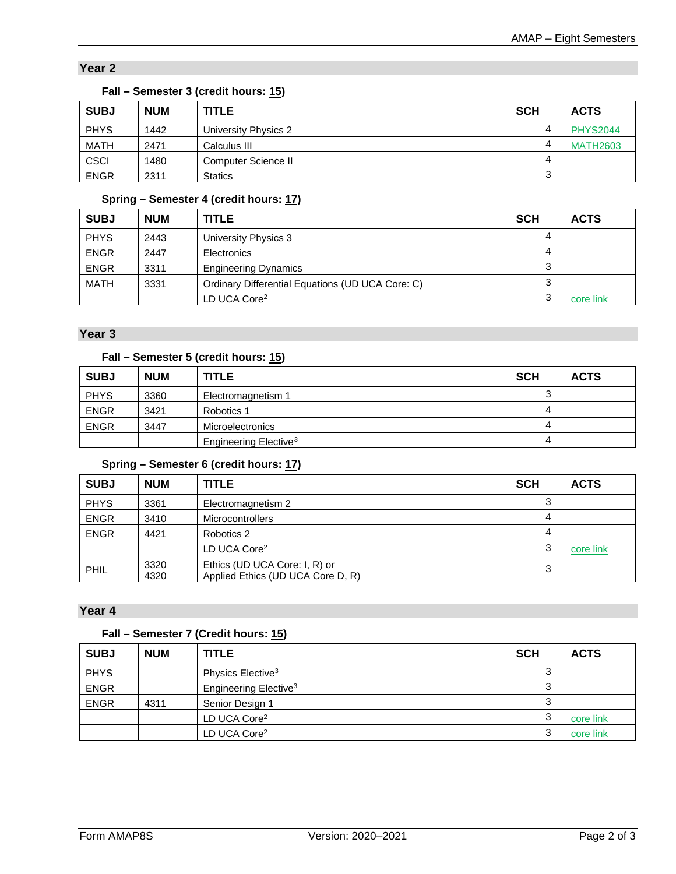## **Year 2**

| <b>SUBJ</b> | <b>NUM</b> | <b>TITLE</b>         | <b>SCH</b> | <b>ACTS</b>     |
|-------------|------------|----------------------|------------|-----------------|
| <b>PHYS</b> | 1442       | University Physics 2 | Δ          | <b>PHYS2044</b> |
| <b>MATH</b> | 2471       | Calculus III         | Δ          | <b>MATH2603</b> |
| <b>CSCI</b> | 1480       | Computer Science II  | 4          |                 |
| <b>ENGR</b> | 2311       | <b>Statics</b>       | ◠<br>Ő     |                 |

### **Fall – Semester 3 (credit hours: 15)**

## **Spring – Semester 4 (credit hours: 17)**

| <b>SUBJ</b> | <b>NUM</b> | <b>TITLE</b>                                     | <b>SCH</b> | <b>ACTS</b> |
|-------------|------------|--------------------------------------------------|------------|-------------|
| <b>PHYS</b> | 2443       | University Physics 3                             | 4          |             |
| <b>ENGR</b> | 2447       | Electronics                                      | 4          |             |
| <b>ENGR</b> | 3311       | <b>Engineering Dynamics</b>                      |            |             |
| <b>MATH</b> | 3331       | Ordinary Differential Equations (UD UCA Core: C) |            |             |
|             |            | LD UCA Core <sup>2</sup>                         | $\sim$     | core link   |

### **Year 3**

## **Fall – Semester 5 (credit hours: 15)**

| <b>SUBJ</b> | <b>NUM</b> | <b>TITLE</b>                      | <b>SCH</b> | <b>ACTS</b> |
|-------------|------------|-----------------------------------|------------|-------------|
| <b>PHYS</b> | 3360       | Electromagnetism 1                |            |             |
| <b>ENGR</b> | 3421       | Robotics 1                        | 4          |             |
| <b>ENGR</b> | 3447       | Microelectronics                  | 4          |             |
|             |            | Engineering Elective <sup>3</sup> | 4          |             |

## <span id="page-1-0"></span>**Spring – Semester 6 (credit hours: 17)**

| <b>SUBJ</b> | <b>NUM</b>   | <b>TITLE</b>                                                       | <b>SCH</b> | <b>ACTS</b> |
|-------------|--------------|--------------------------------------------------------------------|------------|-------------|
| <b>PHYS</b> | 3361         | Electromagnetism 2                                                 | 3          |             |
| <b>ENGR</b> | 3410         | <b>Microcontrollers</b>                                            | 4          |             |
| <b>ENGR</b> | 4421         | Robotics 2                                                         | 4          |             |
|             |              | LD UCA Core <sup>2</sup>                                           | 3          | core link   |
| PHIL        | 3320<br>4320 | Ethics (UD UCA Core: I, R) or<br>Applied Ethics (UD UCA Core D, R) | 3          |             |

### **Year 4**

## **Fall – Semester 7 (Credit hours: 15)**

| <b>SUBJ</b> | <b>NUM</b> | <b>TITLE</b>                      | <b>SCH</b> | <b>ACTS</b> |
|-------------|------------|-----------------------------------|------------|-------------|
| <b>PHYS</b> |            | Physics Elective <sup>3</sup>     |            |             |
| <b>ENGR</b> |            | Engineering Elective <sup>3</sup> |            |             |
| <b>ENGR</b> | 4311       | Senior Design 1                   |            |             |
|             |            | LD UCA Core <sup>2</sup>          |            | core link   |
|             |            | LD UCA Core <sup>2</sup>          | ົ          | core link   |